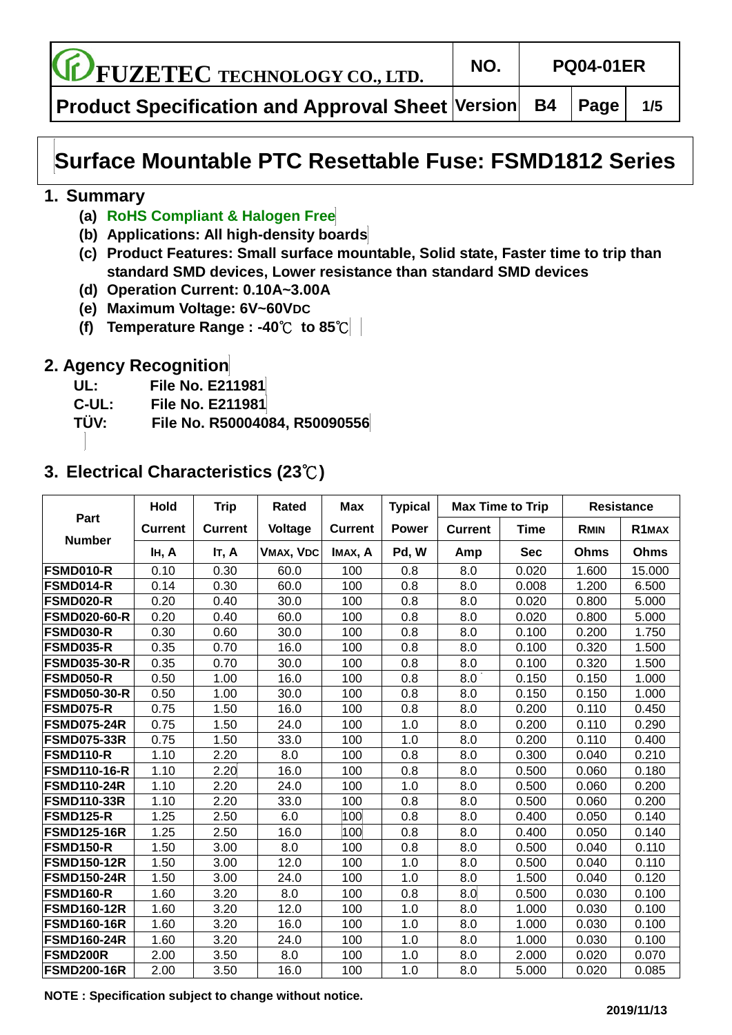**FUZETEC TECHNOLOGY CO., LTD. NO. PQ04-01ER**

**Product Specification and Approval Sheet Version B4 Page 1/5**

# **Surface Mountable PTC Resettable Fuse: FSMD1812 Series**

### **1. Summary**

- **(a) RoHS Compliant & Halogen Free**
- **(b) Applications: All high-density boards**
- **(c) Product Features: Small surface mountable, Solid state, Faster time to trip than standard SMD devices, Lower resistance than standard SMD devices**
- **(d) Operation Current: 0.10A~3.00A**
- **(e) Maximum Voltage: 6V~60VDC**
- **(f) Temperature Range : -40**℃ **to 85**℃

# **2. Agency Recognition**

- **UL: File No. E211981**
- **C-UL: File No. E211981**
- **TÜ V: File No. R50004084, R50090556**

# **3. Electrical Characteristics (23**℃**)**

|                     | Hold           | <b>Trip</b>    | Rated            | <b>Max</b>     | <b>Typical</b> | <b>Max Time to Trip</b> |            | <b>Resistance</b> |                    |  |
|---------------------|----------------|----------------|------------------|----------------|----------------|-------------------------|------------|-------------------|--------------------|--|
| Part                | <b>Current</b> | <b>Current</b> | Voltage          | <b>Current</b> | <b>Power</b>   | <b>Current</b>          | Time       | <b>RMIN</b>       | R <sub>1</sub> MAX |  |
| <b>Number</b>       | IH, A          | IT, A          | <b>VMAX, VDC</b> | IMAX, A        | Pd, W          | Amp                     | <b>Sec</b> | Ohms              | Ohms               |  |
| <b>FSMD010-R</b>    | 0.10           | 0.30           | 60.0             | 100            | 0.8            | 8.0                     | 0.020      | 1.600             | 15.000             |  |
| FSMD014-R           | 0.14           | 0.30           | 60.0             | 100            | 0.8            | 8.0                     | 0.008      | 1.200             | 6.500              |  |
| <b>FSMD020-R</b>    | 0.20           | 0.40           | 30.0             | 100            | 0.8            | 8.0                     | 0.020      | 0.800             | 5.000              |  |
| <b>FSMD020-60-R</b> | 0.20           | 0.40           | 60.0             | 100            | 0.8            | 8.0                     | 0.020      | 0.800             | 5.000              |  |
| <b>FSMD030-R</b>    | 0.30           | 0.60           | 30.0             | 100            | 0.8            | 8.0                     | 0.100      | 0.200             | 1.750              |  |
| <b>FSMD035-R</b>    | 0.35           | 0.70           | 16.0             | 100            | 0.8            | 8.0                     | 0.100      | 0.320             | 1.500              |  |
| <b>FSMD035-30-R</b> | 0.35           | 0.70           | 30.0             | 100            | 0.8            | 8.0                     | 0.100      | 0.320             | 1.500              |  |
| <b>FSMD050-R</b>    | 0.50           | 1.00           | 16.0             | 100            | 0.8            | 8.0                     | 0.150      | 0.150             | 1.000              |  |
| <b>FSMD050-30-R</b> | 0.50           | 1.00           | 30.0             | 100            | 0.8            | 8.0                     | 0.150      | 0.150             | 1.000              |  |
| <b>FSMD075-R</b>    | 0.75           | 1.50           | 16.0             | 100            | 0.8            | 8.0                     | 0.200      | 0.110             | 0.450              |  |
| <b>FSMD075-24R</b>  | 0.75           | 1.50           | 24.0             | 100            | 1.0            | 8.0                     | 0.200      | 0.110             | 0.290              |  |
| <b>FSMD075-33R</b>  | 0.75           | 1.50           | 33.0             | 100            | 1.0            | $8.0\,$                 | 0.200      | 0.110             | 0.400              |  |
| <b>FSMD110-R</b>    | 1.10           | 2.20           | 8.0              | 100            | 0.8            | 8.0                     | 0.300      | 0.040             | 0.210              |  |
| <b>FSMD110-16-R</b> | 1.10           | 2.20           | 16.0             | 100            | 0.8            | 8.0                     | 0.500      | 0.060             | 0.180              |  |
| <b>FSMD110-24R</b>  | 1.10           | 2.20           | 24.0             | 100            | 1.0            | 8.0                     | 0.500      | 0.060             | 0.200              |  |
| <b>FSMD110-33R</b>  | 1.10           | 2.20           | 33.0             | 100            | 0.8            | 8.0                     | 0.500      | 0.060             | 0.200              |  |
| FSMD125-R           | 1.25           | 2.50           | 6.0              | 100            | 0.8            | 8.0                     | 0.400      | 0.050             | 0.140              |  |
| <b>FSMD125-16R</b>  | 1.25           | 2.50           | 16.0             | 100            | 0.8            | 8.0                     | 0.400      | 0.050             | 0.140              |  |
| <b>FSMD150-R</b>    | 1.50           | 3.00           | 8.0              | 100            | 0.8            | 8.0                     | 0.500      | 0.040             | 0.110              |  |
| <b>FSMD150-12R</b>  | 1.50           | 3.00           | 12.0             | 100            | 1.0            | 8.0                     | 0.500      | 0.040             | 0.110              |  |
| <b>FSMD150-24R</b>  | 1.50           | 3.00           | 24.0             | 100            | 1.0            | 8.0                     | 1.500      | 0.040             | 0.120              |  |
| <b>FSMD160-R</b>    | 1.60           | 3.20           | 8.0              | 100            | 0.8            | 8.0                     | 0.500      | 0.030             | 0.100              |  |
| <b>FSMD160-12R</b>  | 1.60           | 3.20           | 12.0             | 100            | 1.0            | 8.0                     | 1.000      | 0.030             | 0.100              |  |
| <b>FSMD160-16R</b>  | 1.60           | 3.20           | 16.0             | 100            | 1.0            | 8.0                     | 1.000      | 0.030             | 0.100              |  |
| <b>FSMD160-24R</b>  | 1.60           | 3.20           | 24.0             | 100            | 1.0            | 8.0                     | 1.000      | 0.030             | 0.100              |  |
| <b>FSMD200R</b>     | 2.00           | 3.50           | 8.0              | 100            | 1.0            | 8.0                     | 2.000      | 0.020             | 0.070              |  |
| <b>FSMD200-16R</b>  | 2.00           | 3.50           | 16.0             | 100            | 1.0            | 8.0                     | 5.000      | 0.020             | 0.085              |  |

**NOTE : Specification subject to change without notice.**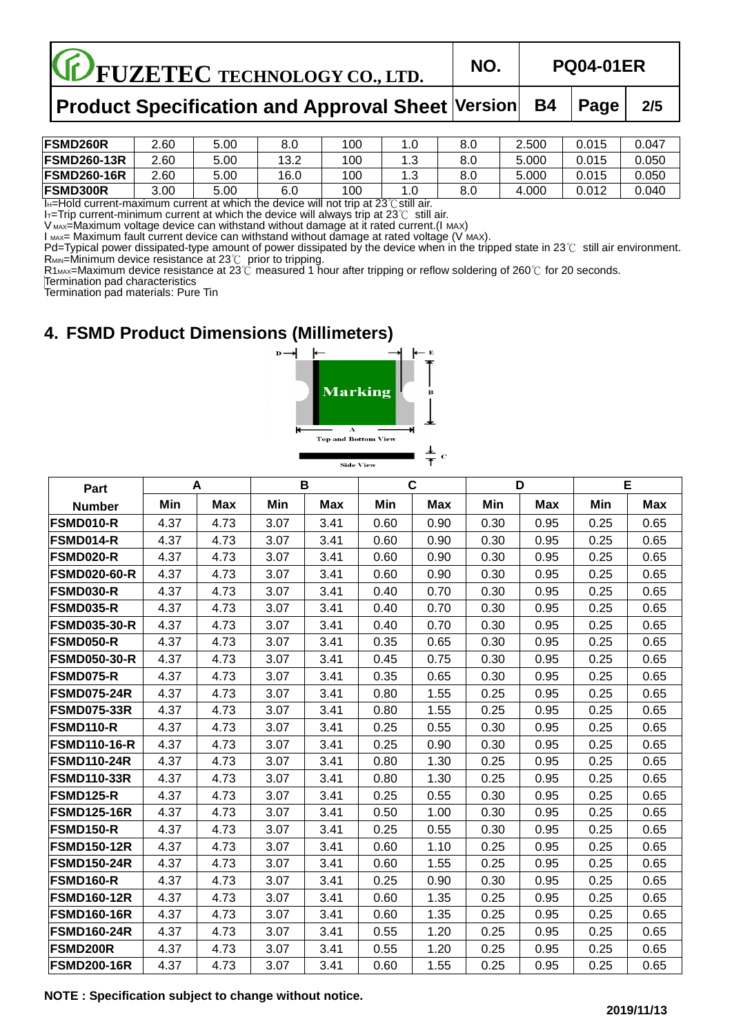| <b>CE FUZETEC TECHNOLOGY CO., LTD.</b>                         | NO. | <b>PQ04-01ER</b> |     |
|----------------------------------------------------------------|-----|------------------|-----|
| Product Specification and Approval Sheet   Version   B4   Page |     |                  | 2/5 |

| <b>FSMD260R</b>     | 2.60 | 5.00 | o    | 100 | ט. ו | 8.0 | 2.500 | 0.015 | 0.047 |
|---------------------|------|------|------|-----|------|-----|-------|-------|-------|
| <b>FSMD260-13R</b>  | 2.60 | 5.00 | 13.2 | 100 | ن. ا | 8.0 | 5.000 | 0.015 | 0.050 |
| <b>IFSMD260-16R</b> | 2.60 | 5.00 | 16.0 | 100 | ن. ا | 8.0 | 5.000 | 0.015 | 0.050 |
| <b>FSMD300R</b>     | 3.00 | 5.00 | ຨ    | 100 | ں.   | 8.0 | 1.000 | .012  | 0.040 |

IH=Hold current-maximum current at which the device will not trip at 23℃still air.

I<sub>T</sub>=Trip current-minimum current at which the device will always trip at 23℃ still air.

V MAX=Maximum voltage device can withstand without damage at it rated current.(I MAX)

I мах= Maximum fault current device can withstand without damage at rated voltage (V мах).

Pd=Typical power dissipated-type amount of power dissipated by the device when in the tripped state in 23℃ still air environment.  $R_{MIN}$ =Minimum device resistance at 23 $\degree$ C prior to tripping.

R1<sub>MAX</sub>=Maximum device resistance at 23℃ measured 1 hour after tripping or reflow soldering of 260℃ for 20 seconds.

Termination pad characteristics

Termination pad materials: Pure Tin

# **4. FSMD Product Dimensions (Millimeters)**



| Part                |      | A          | B    |            |      | $\mathbf{C}$ | D    |            |      | E          |
|---------------------|------|------------|------|------------|------|--------------|------|------------|------|------------|
| <b>Number</b>       | Min  | <b>Max</b> | Min  | <b>Max</b> | Min  | <b>Max</b>   | Min  | <b>Max</b> | Min  | <b>Max</b> |
| <b>FSMD010-R</b>    | 4.37 | 4.73       | 3.07 | 3.41       | 0.60 | 0.90         | 0.30 | 0.95       | 0.25 | 0.65       |
| <b>FSMD014-R</b>    | 4.37 | 4.73       | 3.07 | 3.41       | 0.60 | 0.90         | 0.30 | 0.95       | 0.25 | 0.65       |
| FSMD020-R           | 4.37 | 4.73       | 3.07 | 3.41       | 0.60 | 0.90         | 0.30 | 0.95       | 0.25 | 0.65       |
| <b>FSMD020-60-R</b> | 4.37 | 4.73       | 3.07 | 3.41       | 0.60 | 0.90         | 0.30 | 0.95       | 0.25 | 0.65       |
| <b>FSMD030-R</b>    | 4.37 | 4.73       | 3.07 | 3.41       | 0.40 | 0.70         | 0.30 | 0.95       | 0.25 | 0.65       |
| FSMD035-R           | 4.37 | 4.73       | 3.07 | 3.41       | 0.40 | 0.70         | 0.30 | 0.95       | 0.25 | 0.65       |
| <b>FSMD035-30-R</b> | 4.37 | 4.73       | 3.07 | 3.41       | 0.40 | 0.70         | 0.30 | 0.95       | 0.25 | 0.65       |
| FSMD050-R           | 4.37 | 4.73       | 3.07 | 3.41       | 0.35 | 0.65         | 0.30 | 0.95       | 0.25 | 0.65       |
| <b>FSMD050-30-R</b> | 4.37 | 4.73       | 3.07 | 3.41       | 0.45 | 0.75         | 0.30 | 0.95       | 0.25 | 0.65       |
| <b>FSMD075-R</b>    | 4.37 | 4.73       | 3.07 | 3.41       | 0.35 | 0.65         | 0.30 | 0.95       | 0.25 | 0.65       |
| <b>FSMD075-24R</b>  | 4.37 | 4.73       | 3.07 | 3.41       | 0.80 | 1.55         | 0.25 | 0.95       | 0.25 | 0.65       |
| <b>FSMD075-33R</b>  | 4.37 | 4.73       | 3.07 | 3.41       | 0.80 | 1.55         | 0.25 | 0.95       | 0.25 | 0.65       |
| <b>FSMD110-R</b>    | 4.37 | 4.73       | 3.07 | 3.41       | 0.25 | 0.55         | 0.30 | 0.95       | 0.25 | 0.65       |
| <b>FSMD110-16-R</b> | 4.37 | 4.73       | 3.07 | 3.41       | 0.25 | 0.90         | 0.30 | 0.95       | 0.25 | 0.65       |
| <b>FSMD110-24R</b>  | 4.37 | 4.73       | 3.07 | 3.41       | 0.80 | 1.30         | 0.25 | 0.95       | 0.25 | 0.65       |
| <b>FSMD110-33R</b>  | 4.37 | 4.73       | 3.07 | 3.41       | 0.80 | 1.30         | 0.25 | 0.95       | 0.25 | 0.65       |
| <b>FSMD125-R</b>    | 4.37 | 4.73       | 3.07 | 3.41       | 0.25 | 0.55         | 0.30 | 0.95       | 0.25 | 0.65       |
| <b>FSMD125-16R</b>  | 4.37 | 4.73       | 3.07 | 3.41       | 0.50 | 1.00         | 0.30 | 0.95       | 0.25 | 0.65       |
| <b>FSMD150-R</b>    | 4.37 | 4.73       | 3.07 | 3.41       | 0.25 | 0.55         | 0.30 | 0.95       | 0.25 | 0.65       |
| <b>FSMD150-12R</b>  | 4.37 | 4.73       | 3.07 | 3.41       | 0.60 | 1.10         | 0.25 | 0.95       | 0.25 | 0.65       |
| <b>FSMD150-24R</b>  | 4.37 | 4.73       | 3.07 | 3.41       | 0.60 | 1.55         | 0.25 | 0.95       | 0.25 | 0.65       |
| <b>FSMD160-R</b>    | 4.37 | 4.73       | 3.07 | 3.41       | 0.25 | 0.90         | 0.30 | 0.95       | 0.25 | 0.65       |
| <b>FSMD160-12R</b>  | 4.37 | 4.73       | 3.07 | 3.41       | 0.60 | 1.35         | 0.25 | 0.95       | 0.25 | 0.65       |
| <b>FSMD160-16R</b>  | 4.37 | 4.73       | 3.07 | 3.41       | 0.60 | 1.35         | 0.25 | 0.95       | 0.25 | 0.65       |
| <b>IFSMD160-24R</b> | 4.37 | 4.73       | 3.07 | 3.41       | 0.55 | 1.20         | 0.25 | 0.95       | 0.25 | 0.65       |
| <b>FSMD200R</b>     | 4.37 | 4.73       | 3.07 | 3.41       | 0.55 | 1.20         | 0.25 | 0.95       | 0.25 | 0.65       |
| <b>FSMD200-16R</b>  | 4.37 | 4.73       | 3.07 | 3.41       | 0.60 | 1.55         | 0.25 | 0.95       | 0.25 | 0.65       |

**NOTE : Specification subject to change without notice.**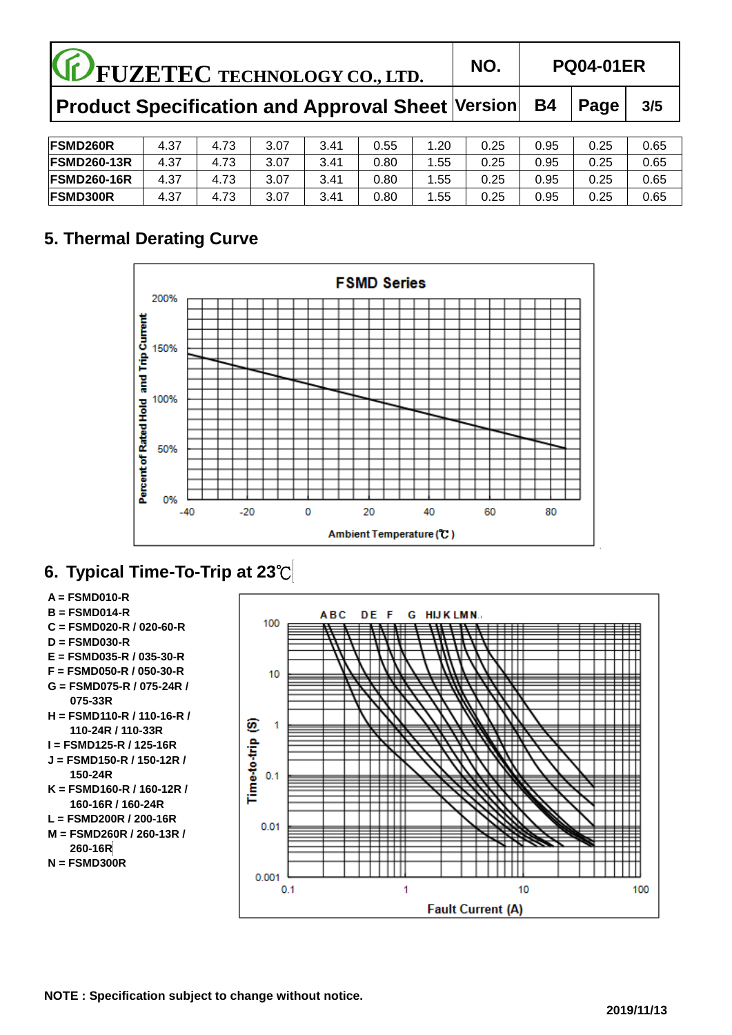| <b>CE FUZETEC TECHNOLOGY CO., LTD.</b>           |      |      |      |      |      | NO.  |      | <b>PQ04-01ER</b> |      |      |
|--------------------------------------------------|------|------|------|------|------|------|------|------------------|------|------|
| Product Specification and Approval Sheet Version |      |      |      |      |      |      |      | <b>B4</b>        | Page | 3/5  |
| <b>FSMD260R</b>                                  | 4.37 | 4.73 | 3.07 | 3.41 | 0.55 | 1.20 | 0.25 | 0.95             | 0.25 | 0.65 |
| <b>FSMD260-13R</b>                               | 4.37 | 4.73 | 3.07 | 3.41 | 0.80 | 1.55 | 0.25 | 0.95             | 0.25 | 0.65 |
| <b>FSMD260-16R</b>                               | 4.37 | 4.73 | 3.07 | 3.41 | 0.80 | 1.55 | 0.25 | 0.95             | 0.25 | 0.65 |
| <b>FSMD300R</b>                                  | 4.37 | 4.73 | 3.07 | 3.41 | 0.80 | 1.55 | 0.25 | 0.95             | 0.25 | 0.65 |

# **5. Thermal Derating Curve**



# **6. Typical Time-To-Trip at 23**℃

- **A = FSMD01 0-R**
- **B = FSMD014-R**
- **C = FSMD020-R / 020-60-R**
- **D = FSMD030-R**
- **E = FSMD035-R / 035-30-R**
- **F = FSMD050-R / 050-30-R**
- **G = FSMD075-R / 075-24R / 075-33R**
- **H = FSMD110-R / 110-16-R / 110-24R / 110-33R**
- **I = FSMD125-R / 125-16R**
- **J = FSMD150-R / 150-12R / 150-24R**
- **K = FSMD160-R / 160-12R / 160-16R / 160-24R**
- **L = FSMD200R / 200-16R**
- **M = FSMD260R / 260-13R / 260-16R**
- **N = FSMD300R**

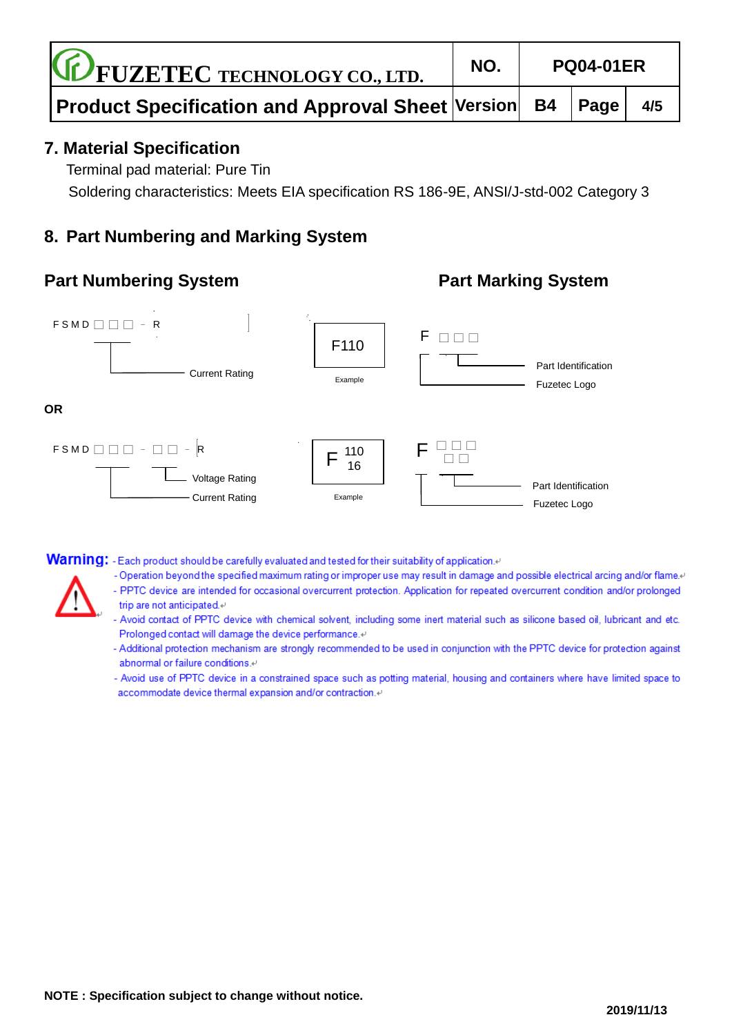| <b>CE FUZETEC TECHNOLOGY CO., LTD.</b>                                                          | NO. | <b>PQ04-01ER</b> |  |     |  |
|-------------------------------------------------------------------------------------------------|-----|------------------|--|-----|--|
| $\mid$ Product Specification and Approval Sheet $\mid$ Version $\mid\,$ B4 $\mid$ Page $\mid\,$ |     |                  |  | 4/5 |  |

## **7. Material Specification**

Terminal pad material: Pure Tin

Soldering characteristics: Meets EIA specification RS 186-9E, ANSI/J-std-002 Category 3

# **8. Part Numbering and Marking System**

# **Part Numbering System**<br>**Part Marking System**



**Warning:** - Each product should be carefully evaluated and tested for their suitability of application.<sup>41</sup>

- Operation beyond the specified maximum rating or improper use may result in damage and possible electrical arcing and/or flame.
- PPTC device are intended for occasional overcurrent protection. Application for repeated overcurrent condition and/or prolonged
- trip are not anticipated.« - Avoid contact of PPTC device with chemical solvent, including some inert material such as silicone based oil, lubricant and etc.
	- Prolonged contact will damage the device performance. - Additional protection mechanism are strongly recommended to be used in conjunction with the PPTC device for protection against
	- abnormal or failure conditions.<sup>41</sup>
	- Avoid use of PPTC device in a constrained space such as potting material, housing and containers where have limited space to accommodate device thermal expansion and/or contraction.41